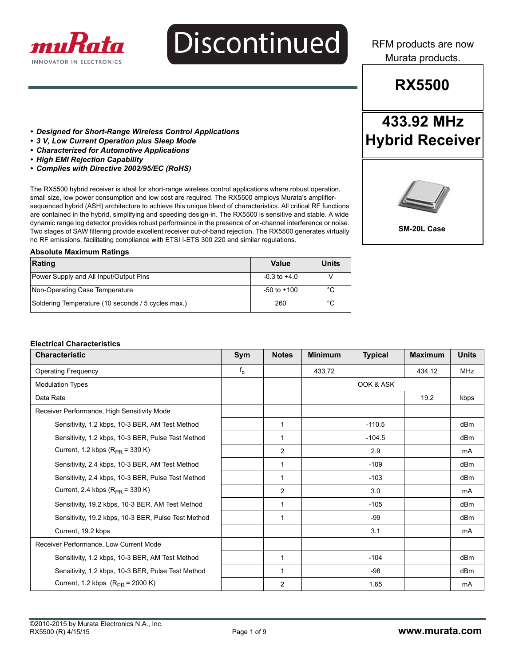

# **Discontinued**

RFM products are now Murata products.

# **RX5500**

**433.92 MHz**

**Hybrid Receiver**

- *Designed for Short-Range Wireless Control Applications*
- *3 V, Low Current Operation plus Sleep Mode*
- *Characterized for Automotive Applications*
- *High EMI Rejection Capability*
- *Complies with Directive 2002/95/EC (RoHS)*

The RX5500 hybrid receiver is ideal for short-range wireless control applications where robust operation, small size, low power consumption and low cost are required. The RX5500 employs Murata's amplifiersequenced hybrid (ASH) architecture to achieve this unique blend of characteristics. All critical RF functions are contained in the hybrid, simplifying and speeding design-in. The RX5500 is sensitive and stable. A wide dynamic range log detector provides robust performance in the presence of on-channel interference or noise. Two stages of SAW filtering provide excellent receiver out-of-band rejection. The RX5500 generates virtually no RF emissions, facilitating compliance with ETSI I-ETS 300 220 and similar regulations.



**SM-20L Case** 

#### **Absolute Maximum Ratings**

| Rating                                             | Value            | <b>Units</b> |
|----------------------------------------------------|------------------|--------------|
| Power Supply and All Input/Output Pins             | $-0.3$ to $+4.0$ |              |
| Non-Operating Case Temperature                     | $-50$ to $+100$  | °C           |
| Soldering Temperature (10 seconds / 5 cycles max.) | 260              | °C           |

#### **Electrical Characteristics**

| <b>Characteristic</b>                               | Sym     | <b>Notes</b>   | <b>Minimum</b> | <b>Typical</b> | <b>Maximum</b> | <b>Units</b>    |
|-----------------------------------------------------|---------|----------------|----------------|----------------|----------------|-----------------|
| <b>Operating Frequency</b>                          | $f_{o}$ |                | 433.72         |                | 434.12         | <b>MHz</b>      |
| <b>Modulation Types</b>                             |         |                |                | OOK & ASK      |                |                 |
| Data Rate                                           |         |                |                |                | 19.2           | kbps            |
| Receiver Performance, High Sensitivity Mode         |         |                |                |                |                |                 |
| Sensitivity, 1.2 kbps, 10-3 BER, AM Test Method     |         | 1              |                | $-110.5$       |                | dB <sub>m</sub> |
| Sensitivity, 1.2 kbps, 10-3 BER, Pulse Test Method  |         | -1             |                | $-104.5$       |                | dBm             |
| Current, 1.2 kbps $(R_{PR} = 330 K)$                |         | 2              |                | 2.9            |                | mA              |
| Sensitivity, 2.4 kbps, 10-3 BER, AM Test Method     |         | 1              |                | $-109$         |                | dB <sub>m</sub> |
| Sensitivity, 2.4 kbps, 10-3 BER, Pulse Test Method  |         | 1              |                | $-103$         |                | dB <sub>m</sub> |
| Current, 2.4 kbps $(R_{PR} = 330 \text{ K})$        |         | $\overline{2}$ |                | 3.0            |                | mA              |
| Sensitivity, 19.2 kbps, 10-3 BER, AM Test Method    |         | $\mathbf{1}$   |                | $-105$         |                | dB <sub>m</sub> |
| Sensitivity, 19.2 kbps, 10-3 BER, Pulse Test Method |         | $\mathbf{1}$   |                | $-99$          |                | dB <sub>m</sub> |
| Current, 19.2 kbps                                  |         |                |                | 3.1            |                | mA              |
| Receiver Performance, Low Current Mode              |         |                |                |                |                |                 |
| Sensitivity, 1.2 kbps, 10-3 BER, AM Test Method     |         | $\mathbf 1$    |                | $-104$         |                | dBm             |
| Sensitivity, 1.2 kbps, 10-3 BER, Pulse Test Method  |         | 1              |                | -98            |                | dBm             |
| Current, 1.2 kbps $(R_{PR} = 2000 \text{ K})$       |         | 2              |                | 1.65           |                | mA              |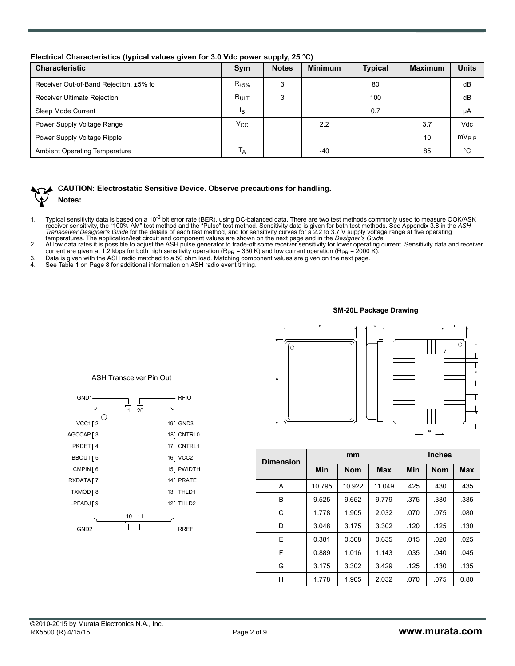|  |  |  |  | Electrical Characteristics (typical values given for 3.0 Vdc power supply, 25 °C) |  |
|--|--|--|--|-----------------------------------------------------------------------------------|--|
|--|--|--|--|-----------------------------------------------------------------------------------|--|

| <b>Characteristic</b>                  | Sym                       | <b>Notes</b> | <b>Minimum</b> | <b>Typical</b> | <b>Maximum</b> | <b>Units</b> |
|----------------------------------------|---------------------------|--------------|----------------|----------------|----------------|--------------|
| Receiver Out-of-Band Rejection, ±5% fo | $R_{\pm 5\%}$             | 3            |                | 80             |                | dB           |
| <b>Receiver Ultimate Rejection</b>     | $R_{ULT}$                 | 3            |                | 100            |                | dB           |
| Sleep Mode Current                     | Ιs                        |              |                | 0.7            |                | μA           |
| Power Supply Voltage Range             | $V_{\rm CC}$              |              | 2.2            |                | 3.7            | Vdc          |
| Power Supply Voltage Ripple            |                           |              |                |                | 10             | $mV_{P-P}$   |
| <b>Ambient Operating Temperature</b>   | $\mathsf{I}_{\mathsf{A}}$ |              | -40            |                | 85             | °С           |



### **CAUTION: Electrostatic Sensitive Device. Observe precautions for handling.**

## **Notes:**

- 1. Typical sensitivity data is based on a 10<sup>-3</sup> bit error rate (BER), using DC-balanced data. There are two test methods commonly used to measure OOK/ASK<br>receiver sensitivity, the "100% AM" test method and the "Pulse" tes
- 
- current are given at 1.2 kbps for both high sensitivity operation (R<sub>PR</sub> = 330 K) and low current operation (R<sub>PR</sub> = 2000 K).<br>3. Data is given with the ASH radio matched to a 50 ohm load. Matching component values are giv
- 



| <b>Dimension</b> |            | mm         |            | <b>Inches</b> |            |            |  |
|------------------|------------|------------|------------|---------------|------------|------------|--|
|                  | <b>Min</b> | <b>Nom</b> | <b>Max</b> | Min           | <b>Nom</b> | <b>Max</b> |  |
| A                | 10.795     | 10.922     | 11.049     | .425          | .430       | .435       |  |
| B                | 9.525      | 9.652      | 9.779      | .375          | .380       | .385       |  |
| C                | 1.778      | 1.905      | 2.032      | .070          | .075       | .080       |  |
| D                | 3.048      | 3.175      | 3.302      | .120          | .125       | .130       |  |
| E                | 0.381      | 0.508      | 0.635      | .015          | .020       | .025       |  |
| F                | 0.889      | 1.016      | 1.143      | .035          | .040       | .045       |  |
| G                | 3.175      | 3.302      | 3.429      | .125          | .130       | .135       |  |
| н                | 1.778      | 1.905      | 2.032      | .070          | .075       | 0.80       |  |

ASH Transceiver Pin Out

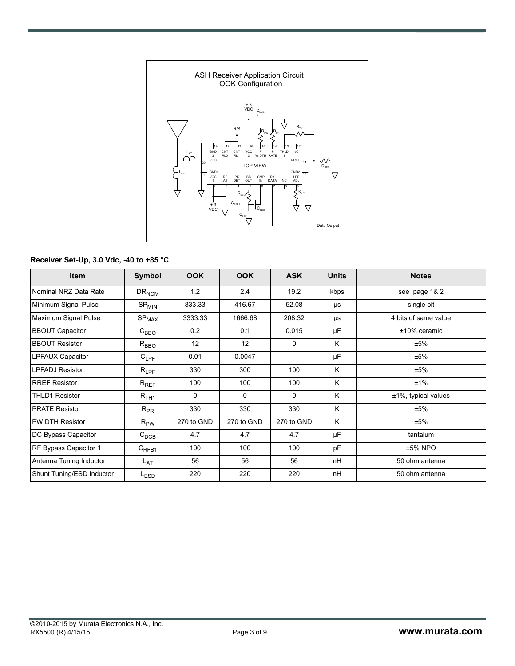

#### **Receiver Set-Up, 3.0 Vdc, -40 to +85 °C**

| Item                      | Symbol                       | <b>OOK</b> | <b>OOK</b>   | <b>ASK</b>   | <b>Units</b> | <b>Notes</b>         |
|---------------------------|------------------------------|------------|--------------|--------------|--------------|----------------------|
| Nominal NRZ Data Rate     | $DR_{NOM}$                   | 1.2        | 2.4          | 19.2         | kbps         | see page 1& 2        |
| Minimum Signal Pulse      | $SP_{MIN}$                   | 833.33     | 416.67       | 52.08        | μs           | single bit           |
| Maximum Signal Pulse      | $\mathrm{SP}_{\mathrm{MAX}}$ | 3333.33    | 1666.68      | 208.32       | μs           | 4 bits of same value |
| <b>BBOUT Capacitor</b>    | $C_{\mathsf{BBO}}$           | 0.2        | 0.1          | 0.015        | μF           | $±10\%$ ceramic      |
| <b>BBOUT Resistor</b>     | $R_{\text{BBO}}$             | 12         | 12           | $\mathbf{0}$ | K            | ±5%                  |
| LPFAUX Capacitor          | $C_{LPF}$                    | 0.01       | 0.0047       |              | μF           | ±5%                  |
| <b>LPFADJ Resistor</b>    | $\mathsf{R}_{\mathsf{LPF}}$  | 330        | 300          | 100          | K            | ±5%                  |
| <b>RREF Resistor</b>      | $R_{REF}$                    | 100        | 100          | 100          | K            | ±1%                  |
| <b>THLD1 Resistor</b>     | $R_{\rm TH1}$                | 0          | $\mathbf{0}$ | $\mathbf{0}$ | K            | ±1%, typical values  |
| <b>PRATE Resistor</b>     | $R_{PR}$                     | 330        | 330          | 330          | K            | ±5%                  |
| <b>PWIDTH Resistor</b>    | $R_{\sf PW}$                 | 270 to GND | 270 to GND   | 270 to GND   | K            | ±5%                  |
| DC Bypass Capacitor       | $C_{DCB}$                    | 4.7        | 4.7          | 4.7          | μF           | tantalum             |
| RF Bypass Capacitor 1     | $C_{RFB1}$                   | 100        | 100          | 100          | pF           | ±5% NPO              |
| Antenna Tuning Inductor   | L <sub>AT</sub>              | 56         | 56           | 56           | nH           | 50 ohm antenna       |
| Shunt Tuning/ESD Inductor | L <sub>ESD</sub>             | 220        | 220          | 220          | nH           | 50 ohm antenna       |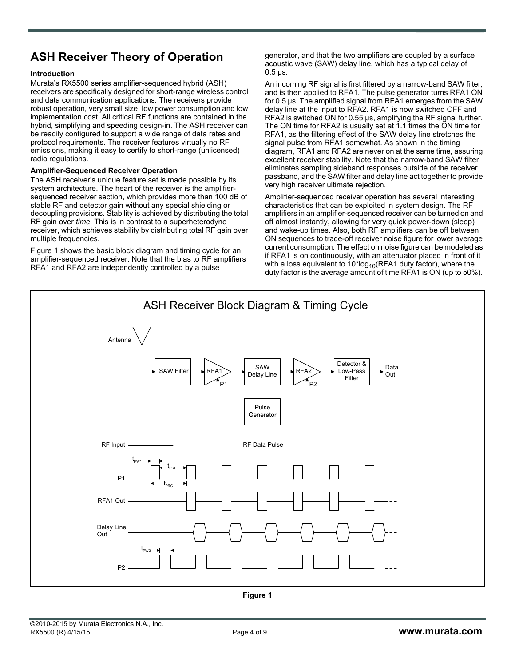# **ASH Receiver Theory of Operation**

#### **Introduction**

Murata's RX5500 series amplifier-sequenced hybrid (ASH) receivers are specifically designed for short-range wireless control and data communication applications. The receivers provide robust operation, very small size, low power consumption and low implementation cost. All critical RF functions are contained in the hybrid, simplifying and speeding design-in. The ASH receiver can be readily configured to support a wide range of data rates and protocol requirements. The receiver features virtually no RF emissions, making it easy to certify to short-range (unlicensed) radio regulations.

#### **Amplifier-Sequenced Receiver Operation**

The ASH receiver's unique feature set is made possible by its system architecture. The heart of the receiver is the amplifiersequenced receiver section, which provides more than 100 dB of stable RF and detector gain without any special shielding or decoupling provisions. Stability is achieved by distributing the total RF gain over *time*. This is in contrast to a superheterodyne receiver, which achieves stability by distributing total RF gain over multiple frequencies.

Figure 1 shows the basic block diagram and timing cycle for an amplifier-sequenced receiver. Note that the bias to RF amplifiers RFA1 and RFA2 are independently controlled by a pulse

generator, and that the two amplifiers are coupled by a surface acoustic wave (SAW) delay line, which has a typical delay of  $0.5 \,\mu s$ .

An incoming RF signal is first filtered by a narrow-band SAW filter, and is then applied to RFA1. The pulse generator turns RFA1 ON for 0.5 µs. The amplified signal from RFA1 emerges from the SAW delay line at the input to RFA2. RFA1 is now switched OFF and RFA2 is switched ON for 0.55 µs, amplifying the RF signal further. The ON time for RFA2 is usually set at 1.1 times the ON time for RFA1, as the filtering effect of the SAW delay line stretches the signal pulse from RFA1 somewhat. As shown in the timing diagram, RFA1 and RFA2 are never on at the same time, assuring excellent receiver stability. Note that the narrow-band SAW filter eliminates sampling sideband responses outside of the receiver passband, and the SAW filter and delay line act together to provide very high receiver ultimate rejection.

Amplifier-sequenced receiver operation has several interesting characteristics that can be exploited in system design. The RF amplifiers in an amplifier-sequenced receiver can be turned on and off almost instantly, allowing for very quick power-down (sleep) and wake-up times. Also, both RF amplifiers can be off between ON sequences to trade-off receiver noise figure for lower average current consumption. The effect on noise figure can be modeled as if RFA1 is on continuously, with an attenuator placed in front of it with a loss equivalent to  $10*log_{10}(RFA1$  duty factor), where the duty factor is the average amount of time RFA1 is ON (up to 50%).

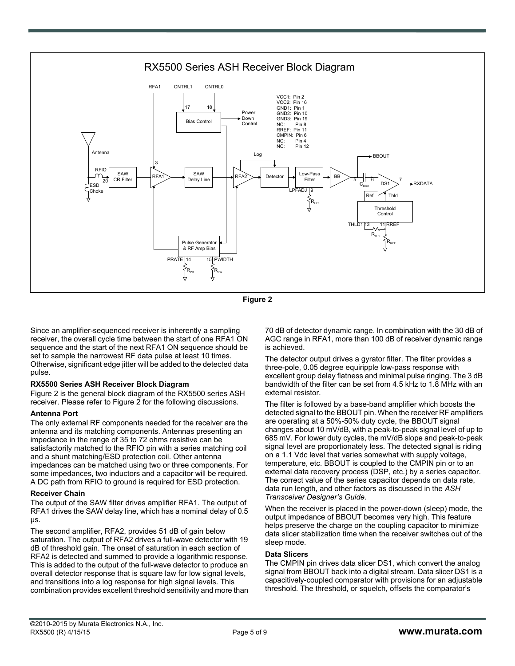

**Figure 2**

Since an amplifier-sequenced receiver is inherently a sampling receiver, the overall cycle time between the start of one RFA1 ON sequence and the start of the next RFA1 ON sequence should be set to sample the narrowest RF data pulse at least 10 times. Otherwise, significant edge jitter will be added to the detected data pulse.

#### **RX5500 Series ASH Receiver Block Diagram**

Figure 2 is the general block diagram of the RX5500 series ASH receiver. Please refer to Figure 2 for the following discussions.

#### **Antenna Port**

The only external RF components needed for the receiver are the antenna and its matching components. Antennas presenting an impedance in the range of 35 to 72 ohms resistive can be satisfactorily matched to the RFIO pin with a series matching coil and a shunt matching/ESD protection coil. Other antenna impedances can be matched using two or three components. For some impedances, two inductors and a capacitor will be required. A DC path from RFIO to ground is required for ESD protection.

#### **Receiver Chain**

The output of the SAW filter drives amplifier RFA1. The output of RFA1 drives the SAW delay line, which has a nominal delay of 0.5 µs.

The second amplifier, RFA2, provides 51 dB of gain below saturation. The output of RFA2 drives a full-wave detector with 19 dB of threshold gain. The onset of saturation in each section of RFA2 is detected and summed to provide a logarithmic response. This is added to the output of the full-wave detector to produce an overall detector response that is square law for low signal levels, and transitions into a log response for high signal levels. This combination provides excellent threshold sensitivity and more than 70 dB of detector dynamic range. In combination with the 30 dB of AGC range in RFA1, more than 100 dB of receiver dynamic range is achieved.

The detector output drives a gyrator filter. The filter provides a three-pole, 0.05 degree equiripple low-pass response with excellent group delay flatness and minimal pulse ringing. The 3 dB bandwidth of the filter can be set from 4.5 kHz to 1.8 MHz with an external resistor.

The filter is followed by a base-band amplifier which boosts the detected signal to the BBOUT pin. When the receiver RF amplifiers are operating at a 50%-50% duty cycle, the BBOUT signal changes about 10 mV/dB, with a peak-to-peak signal level of up to 685 mV. For lower duty cycles, the mV/dB slope and peak-to-peak signal level are proportionately less. The detected signal is riding on a 1.1 Vdc level that varies somewhat with supply voltage, temperature, etc. BBOUT is coupled to the CMPIN pin or to an external data recovery process (DSP, etc.) by a series capacitor. The correct value of the series capacitor depends on data rate, data run length, and other factors as discussed in the *ASH Transceiver Designer's Guide*.

When the receiver is placed in the power-down (sleep) mode, the output impedance of BBOUT becomes very high. This feature helps preserve the charge on the coupling capacitor to minimize data slicer stabilization time when the receiver switches out of the sleep mode.

#### **Data Slicers**

The CMPIN pin drives data slicer DS1, which convert the analog signal from BBOUT back into a digital stream. Data slicer DS1 is a capacitively-coupled comparator with provisions for an adjustable threshold. The threshold, or squelch, offsets the comparator's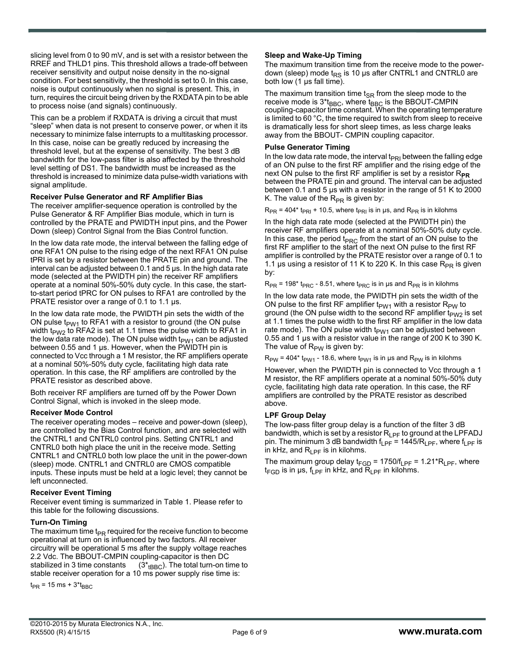slicing level from 0 to 90 mV, and is set with a resistor between the RREF and THLD1 pins. This threshold allows a trade-off between receiver sensitivity and output noise density in the no-signal condition. For best sensitivity, the threshold is set to 0. In this case, noise is output continuously when no signal is present. This, in turn, requires the circuit being driven by the RXDATA pin to be able to process noise (and signals) continuously.

This can be a problem if RXDATA is driving a circuit that must "sleep" when data is not present to conserve power, or when it its necessary to minimize false interrupts to a multitasking processor. In this case, noise can be greatly reduced by increasing the threshold level, but at the expense of sensitivity. The best 3 dB bandwidth for the low-pass filter is also affected by the threshold level setting of DS1. The bandwidth must be increased as the threshold is increased to minimize data pulse-width variations with signal amplitude.

#### **Receiver Pulse Generator and RF Amplifier Bias**

The receiver amplifier-sequence operation is controlled by the Pulse Generator & RF Amplifier Bias module, which in turn is controlled by the PRATE and PWIDTH input pins, and the Power Down (sleep) Control Signal from the Bias Control function.

In the low data rate mode, the interval between the falling edge of one RFA1 ON pulse to the rising edge of the next RFA1 ON pulse tPRI is set by a resistor between the PRATE pin and ground. The interval can be adjusted between 0.1 and 5 µs. In the high data rate mode (selected at the PWIDTH pin) the receiver RF amplifiers operate at a nominal 50%-50% duty cycle. In this case, the startto-start period tPRC for ON pulses to RFA1 are controlled by the PRATE resistor over a range of 0.1 to 1.1  $\mu$ s.

In the low data rate mode, the PWIDTH pin sets the width of the ON pulse  $t_{PW1}$  to RFA1 with a resistor to ground (the ON pulse width t<sub>PW2</sub> to RFA2 is set at 1.1 times the pulse width to RFA1 in the low data rate mode). The ON pulse width  $t_{PW1}$  can be adjusted between 0.55 and 1 µs. However, when the PWIDTH pin is connected to Vcc through a 1 M resistor, the RF amplifiers operate at a nominal 50%-50% duty cycle, facilitating high data rate operation. In this case, the RF amplifiers are controlled by the PRATE resistor as described above.

Both receiver RF amplifiers are turned off by the Power Down Control Signal, which is invoked in the sleep mode.

#### **Receiver Mode Control**

The receiver operating modes – receive and power-down (sleep), are controlled by the Bias Control function, and are selected with the CNTRL1 and CNTRL0 control pins. Setting CNTRL1 and CNTRL0 both high place the unit in the receive mode. Setting CNTRL1 and CNTRL0 both low place the unit in the power-down (sleep) mode. CNTRL1 and CNTRL0 are CMOS compatible inputs. These inputs must be held at a logic level; they cannot be left unconnected.

#### **Receiver Event Timing**

Receiver event timing is summarized in Table 1. Please refer to this table for the following discussions.

#### **Turn-On Timing**

The maximum time  $t_{PR}$  required for the receive function to become operational at turn on is influenced by two factors. All receiver circuitry will be operational 5 ms after the supply voltage reaches 2.2 Vdc. The BBOUT-CMPIN coupling-capacitor is then DC stabilized in 3 time constants  $(3<sup>*</sup><sub>fBBC</sub>)$ . The total turn-on time to stable receiver operation for a 10 ms power supply rise time is:

 $t_{PR}$  = 15 ms + 3\* $t_{BBC}$ 

#### **Sleep and Wake-Up Timing**

The maximum transition time from the receive mode to the powerdown (sleep) mode  $t_{RS}$  is 10 µs after CNTRL1 and CNTRL0 are both low (1 µs fall time).

The maximum transition time  $t_{SR}$  from the sleep mode to the receive mode is  $3*_{BBC}$ , where  $t_{BBC}$  is the BBOUT-CMPIN coupling-capacitor time constant. When the operating temperature is limited to 60 °C, the time required to switch from sleep to receive is dramatically less for short sleep times, as less charge leaks away from the BBOUT- CMPIN coupling capacitor.

#### **Pulse Generator Timing**

In the low data rate mode, the interval  $t_{PRI}$  between the falling edge of an ON pulse to the first RF amplifier and the rising edge of the next ON pulse to the first RF amplifier is set by a resistor R<sub>PR</sub> between the PRATE pin and ground. The interval can be adjusted between 0.1 and 5 µs with a resistor in the range of 51 K to 2000 K. The value of the  $R_{PR}$  is given by:

 $R_{PR}$  = 404\* t<sub>PRI</sub> + 10.5, where t<sub>PRI</sub> is in µs, and  $R_{PR}$  is in kilohms

In the high data rate mode (selected at the PWIDTH pin) the receiver RF amplifiers operate at a nominal 50%-50% duty cycle. In this case, the period t<sub>PRC</sub> from the start of an ON pulse to the first RF amplifier to the start of the next ON pulse to the first RF amplifier is controlled by the PRATE resistor over a range of 0.1 to 1.1 µs using a resistor of 11 K to 220 K. In this case  $R_{PR}$  is given by:

 $R_{PR}$  = 198\* t<sub>PRC</sub> - 8.51, where t<sub>PRC</sub> is in µs and  $R_{PR}$  is in kilohms

In the low data rate mode, the PWIDTH pin sets the width of the ON pulse to the first RF amplifier  $t_{PW1}$  with a resistor  $R_{PW}$  to ground (the ON pulse width to the second RF amplifier  $t_{PW2}$  is set at 1.1 times the pulse width to the first RF amplifier in the low data rate mode). The ON pulse width  $t_{PW1}$  can be adjusted between 0.55 and 1 µs with a resistor value in the range of 200 K to 390 K. The value of  $R_{PW}$  is given by:

 $R_{PW}$  = 404\* t<sub>PW1</sub> - 18.6, where t<sub>PW1</sub> is in µs and  $R_{PW}$  is in kilohms

However, when the PWIDTH pin is connected to Vcc through a 1 M resistor, the RF amplifiers operate at a nominal 50%-50% duty cycle, facilitating high data rate operation. In this case, the RF amplifiers are controlled by the PRATE resistor as described above.

#### **LPF Group Delay**

The low-pass filter group delay is a function of the filter 3 dB bandwidth, which is set by a resistor  $R_{LPF}$  to ground at the LPFADJ pin. The minimum 3 dB bandwidth  $f_{LPF}$  = 1445/R<sub>LPF</sub>, where  $f_{LPF}$  is in kHz, and  $R_{\text{IPF}}$  is in kilohms.

The maximum group delay  $t_{FGD}$  = 1750/f<sub>LPF</sub> = 1.21\*R<sub>LPF</sub>, where  $t_{FGD}$  is in  $\mu s$ ,  $t_{LPF}$  in kHz, and  $R_{LPF}$  in kilohms.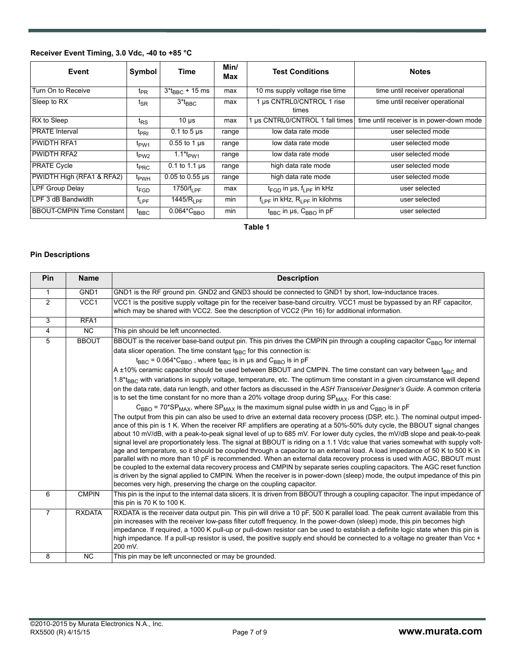## **Receiver Event Timing, 3.0 Vdc, -40 to +85 °C**

| Event                              | Symbol                      | <b>Time</b>           | Min/<br>Max | <b>Test Conditions</b>                             | <b>Notes</b>                              |
|------------------------------------|-----------------------------|-----------------------|-------------|----------------------------------------------------|-------------------------------------------|
| Turn On to Receive                 | t <sub>PR</sub>             | $3*_{BBC} + 15$ ms    | max         | 10 ms supply voltage rise time                     | time until receiver operational           |
| Sleep to RX                        | $I_{\text{SR}}$             | $3*$ t <sub>BBC</sub> | max         | us CNTRL0/CNTROL 1 rise<br>times                   | time until receiver operational           |
| RX to Sleep                        | t <sub>RS</sub>             | $10 \mu s$            | max         | us CNTRL0/CNTROL 1 fall times                      | time until receiver is in power-down mode |
| <b>PRATE Interval</b>              | t <sub>PRI</sub>            | 0.1 to 5 $\mu$ s      | range       | low data rate mode                                 | user selected mode                        |
| PWIDTH RFA1                        | t <sub>PW1</sub>            | $0.55$ to 1 $\mu$ s   | range       | low data rate mode                                 | user selected mode                        |
| <b>PWIDTH RFA2</b>                 | t <sub>PW2</sub>            | 1.1 $*_{FWM}$         | range       | low data rate mode                                 | user selected mode                        |
| <b>PRATE Cycle</b>                 | t <sub>PRC</sub>            | $0.1$ to 1.1 $\mu$ s  | range       | high data rate mode                                | user selected mode                        |
| PWIDTH High (RFA1 & RFA2)          | <sup>t</sup> <sub>PWH</sub> | $0.05$ to $0.55$ µs   | range       | high data rate mode                                | user selected mode                        |
| <b>LPF Group Delay</b>             | <sup>t</sup> FGD            | 1750/ $f_{\rm LPF}$   | max         | $t_{FGD}$ in $\mu s$ , $f_{\mu PF}$ in kHz         | user selected                             |
| LPF 3 dB Bandwidth                 | $I_{LPF}$                   | 1445/ $R_{\rm 1PF}$   | min         | $f_{\rm I\,PF}$ in kHz, $R_{\rm I\,PF}$ in kilohms | user selected                             |
| <b>BBOUT-CMPIN Time Constant  </b> | $I_{BBC}$                   | $0.064*CBBO$          | min         | $t_{BBC}$ in µs, $C_{BBO}$ in pF                   | user selected                             |

**Table 1**

#### **Pin Descriptions**

| <b>Pin</b>     | <b>Name</b>      | <b>Description</b>                                                                                                                                                                                                                                                                                                                                                                                                                                                                                                                                                                                                                                                                                                                                                                                                                                                                                                                                                                                                                                                                                                                                                                                                                                                                                                                                                                                                                                                                                                                                                                                                                                                                                                                                                       |
|----------------|------------------|--------------------------------------------------------------------------------------------------------------------------------------------------------------------------------------------------------------------------------------------------------------------------------------------------------------------------------------------------------------------------------------------------------------------------------------------------------------------------------------------------------------------------------------------------------------------------------------------------------------------------------------------------------------------------------------------------------------------------------------------------------------------------------------------------------------------------------------------------------------------------------------------------------------------------------------------------------------------------------------------------------------------------------------------------------------------------------------------------------------------------------------------------------------------------------------------------------------------------------------------------------------------------------------------------------------------------------------------------------------------------------------------------------------------------------------------------------------------------------------------------------------------------------------------------------------------------------------------------------------------------------------------------------------------------------------------------------------------------------------------------------------------------|
| $\mathbf{1}$   | GND <sub>1</sub> | GND1 is the RF ground pin. GND2 and GND3 should be connected to GND1 by short, low-inductance traces.                                                                                                                                                                                                                                                                                                                                                                                                                                                                                                                                                                                                                                                                                                                                                                                                                                                                                                                                                                                                                                                                                                                                                                                                                                                                                                                                                                                                                                                                                                                                                                                                                                                                    |
| $\overline{2}$ | VCC1             | VCC1 is the positive supply voltage pin for the receiver base-band circuitry. VCC1 must be bypassed by an RF capacitor,<br>which may be shared with VCC2. See the description of VCC2 (Pin 16) for additional information.                                                                                                                                                                                                                                                                                                                                                                                                                                                                                                                                                                                                                                                                                                                                                                                                                                                                                                                                                                                                                                                                                                                                                                                                                                                                                                                                                                                                                                                                                                                                               |
| 3              | RFA1             |                                                                                                                                                                                                                                                                                                                                                                                                                                                                                                                                                                                                                                                                                                                                                                                                                                                                                                                                                                                                                                                                                                                                                                                                                                                                                                                                                                                                                                                                                                                                                                                                                                                                                                                                                                          |
| $\overline{4}$ | $\overline{NC}$  | This pin should be left unconnected.                                                                                                                                                                                                                                                                                                                                                                                                                                                                                                                                                                                                                                                                                                                                                                                                                                                                                                                                                                                                                                                                                                                                                                                                                                                                                                                                                                                                                                                                                                                                                                                                                                                                                                                                     |
| 5              | <b>BBOUT</b>     | BBOUT is the receiver base-band output pin. This pin drives the CMPIN pin through a coupling capacitor C <sub>BBO</sub> for internal<br>data slicer operation. The time constant t <sub>BBC</sub> for this connection is:<br>$t_{BBC}$ = 0.064* $C_{BBO}$ , where $t_{BBC}$ is in µs and $C_{BBO}$ is in pF                                                                                                                                                                                                                                                                                                                                                                                                                                                                                                                                                                                                                                                                                                                                                                                                                                                                                                                                                                                                                                                                                                                                                                                                                                                                                                                                                                                                                                                              |
|                |                  | A ±10% ceramic capacitor should be used between BBOUT and CMPIN. The time constant can vary between t <sub>RRC</sub> and<br>1.8*t <sub>BBC</sub> with variations in supply voltage, temperature, etc. The optimum time constant in a given circumstance will depend<br>on the data rate, data run length, and other factors as discussed in the ASH Transceiver Designer's Guide. A common criteria<br>is to set the time constant for no more than a 20% voltage droop during $SP_{MAX}$ . For this case:<br>$C_{\text{BBO}}$ = 70*SP <sub>MAX</sub> , where SP <sub>MAX</sub> is the maximum signal pulse width in us and C <sub>BBO</sub> is in pF<br>The output from this pin can also be used to drive an external data recovery process (DSP, etc.). The nominal output imped-<br>ance of this pin is 1 K. When the receiver RF amplifiers are operating at a 50%-50% duty cycle, the BBOUT signal changes<br>about 10 mV/dB, with a peak-to-peak signal level of up to 685 mV. For lower duty cycles, the mV/dB slope and peak-to-peak<br>signal level are proportionately less. The signal at BBOUT is riding on a 1.1 Vdc value that varies somewhat with supply volt-<br>age and temperature, so it should be coupled through a capacitor to an external load. A load impedance of 50 K to 500 K in<br>parallel with no more than 10 pF is recommended. When an external data recovery process is used with AGC, BBOUT must<br>be coupled to the external data recovery process and CMPIN by separate series coupling capacitors. The AGC reset function<br>is driven by the signal applied to CMPIN. When the receiver is in power-down (sleep) mode, the output impedance of this pin<br>becomes very high, preserving the charge on the coupling capacitor. |
| 6              | <b>CMPIN</b>     | This pin is the input to the internal data slicers. It is driven from BBOUT through a coupling capacitor. The input impedance of<br>this pin is 70 K to 100 K.                                                                                                                                                                                                                                                                                                                                                                                                                                                                                                                                                                                                                                                                                                                                                                                                                                                                                                                                                                                                                                                                                                                                                                                                                                                                                                                                                                                                                                                                                                                                                                                                           |
| $\overline{7}$ | <b>RXDATA</b>    | RXDATA is the receiver data output pin. This pin will drive a 10 pF, 500 K parallel load. The peak current available from this<br>pin increases with the receiver low-pass filter cutoff frequency. In the power-down (sleep) mode, this pin becomes high<br>impedance. If required, a 1000 K pull-up or pull-down resistor can be used to establish a definite logic state when this pin is<br>high impedance. If a pull-up resistor is used, the positive supply end should be connected to a voltage no greater than Vcc +<br>200 mV.                                                                                                                                                                                                                                                                                                                                                                                                                                                                                                                                                                                                                                                                                                                                                                                                                                                                                                                                                                                                                                                                                                                                                                                                                                 |
| 8              | $\overline{NC}$  | This pin may be left unconnected or may be grounded.                                                                                                                                                                                                                                                                                                                                                                                                                                                                                                                                                                                                                                                                                                                                                                                                                                                                                                                                                                                                                                                                                                                                                                                                                                                                                                                                                                                                                                                                                                                                                                                                                                                                                                                     |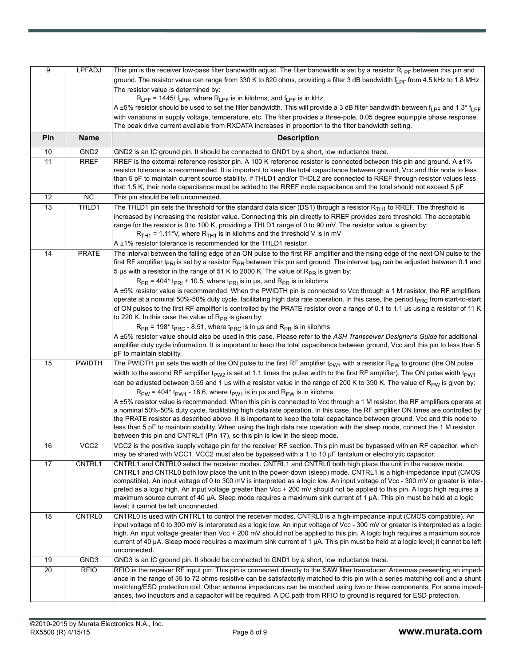| 9   | <b>LPFADJ</b>    | This pin is the receiver low-pass filter bandwidth adjust. The filter bandwidth is set by a resistor R <sub>LPF</sub> between this pin and                                                                                                                                                            |
|-----|------------------|-------------------------------------------------------------------------------------------------------------------------------------------------------------------------------------------------------------------------------------------------------------------------------------------------------|
|     |                  | ground. The resistor value can range from 330 K to 820 ohms, providing a filter 3 dB bandwidth f <sub>LPF</sub> from 4.5 kHz to 1.8 MHz.                                                                                                                                                              |
|     |                  | The resistor value is determined by:                                                                                                                                                                                                                                                                  |
|     |                  | $R_{LPF}$ = 1445/ $f_{LPF}$ , where $R_{LPF}$ is in kilohms, and $f_{LPF}$ is in kHz                                                                                                                                                                                                                  |
|     |                  | A ±5% resistor should be used to set the filter bandwidth. This will provide a 3 dB filter bandwidth between f <sub>l PF</sub> and 1.3 <sup>*</sup> f <sub>l PF</sub>                                                                                                                                 |
|     |                  | with variations in supply voltage, temperature, etc. The filter provides a three-pole, 0.05 degree equiripple phase response.                                                                                                                                                                         |
|     |                  | The peak drive current available from RXDATA increases in proportion to the filter bandwidth setting.                                                                                                                                                                                                 |
| Pin | <b>Name</b>      | <b>Description</b>                                                                                                                                                                                                                                                                                    |
| 10  | GND <sub>2</sub> | GND2 is an IC ground pin. It should be connected to GND1 by a short, low inductance trace.                                                                                                                                                                                                            |
| 11  | <b>RREF</b>      | RREF is the external reference resistor pin. A 100 K reference resistor is connected between this pin and ground. A ±1%                                                                                                                                                                               |
|     |                  | resistor tolerance is recommended. It is important to keep the total capacitance between ground, Vcc and this node to less<br>than 5 pF to maintain current source stability. If THLD1 and/or THDL2 are connected to RREF through resistor values less                                                |
|     |                  | that 1.5 K, their node capacitance must be added to the RREF node capacitance and the total should not exceed 5 pF.                                                                                                                                                                                   |
| 12  | $\overline{NC}$  | This pin should be left unconnected.                                                                                                                                                                                                                                                                  |
| 13  | THLD1            | The THLD1 pin sets the threshold for the standard data slicer (DS1) through a resistor $R_{TH1}$ to RREF. The threshold is                                                                                                                                                                            |
|     |                  | increased by increasing the resistor value. Connecting this pin directly to RREF provides zero threshold. The acceptable                                                                                                                                                                              |
|     |                  | range for the resistor is 0 to 100 K, providing a THLD1 range of 0 to 90 mV. The resistor value is given by:                                                                                                                                                                                          |
|     |                  | $RTH1 = 1.11*V$ , where $RTH1$ is in kilohms and the threshold V is in mV                                                                                                                                                                                                                             |
|     |                  | A ±1% resistor tolerance is recommended for the THLD1 resistor.                                                                                                                                                                                                                                       |
| 14  | <b>PRATE</b>     | The interval between the falling edge of an ON pulse to the first RF amplifier and the rising edge of the next ON pulse to the<br>first RF amplifier t <sub>PRI</sub> is set by a resistor R <sub>PR</sub> between this pin and ground. The interval t <sub>PRI</sub> can be adjusted between 0.1 and |
|     |                  | 5 µs with a resistor in the range of 51 K to 2000 K. The value of R <sub>PR</sub> is given by:                                                                                                                                                                                                        |
|     |                  | $R_{PR}$ = 404* t <sub>PRI</sub> + 10.5, where t <sub>PRI</sub> is in µs, and $R_{PR}$ is in kilohms                                                                                                                                                                                                  |
|     |                  | A ±5% resistor value is recommended. When the PWIDTH pin is connected to Vcc through a 1 M resistor, the RF amplifiers                                                                                                                                                                                |
|     |                  | operate at a nominal 50%-50% duty cycle, facilitating high data rate operation. In this case, the period t <sub>PRC</sub> from start-to-start                                                                                                                                                         |
|     |                  | of ON pulses to the first RF amplifier is controlled by the PRATE resistor over a range of 0.1 to 1.1 µs using a resistor of 11 K                                                                                                                                                                     |
|     |                  | to 220 K. In this case the value of $R_{PR}$ is given by:<br>$R_{PR}$ = 198* t <sub>PRC</sub> - 8.51, where t <sub>PRC</sub> is in µs and $R_{PR}$ is in kilohms                                                                                                                                      |
|     |                  | A ±5% resistor value should also be used in this case. Please refer to the ASH Transceiver Designer's Guide for additional                                                                                                                                                                            |
|     |                  | amplifier duty cycle information. It is important to keep the total capacitance between ground, Vcc and this pin to less than 5                                                                                                                                                                       |
|     |                  | pF to maintain stability.                                                                                                                                                                                                                                                                             |
| 15  | PWIDTH           | The PWIDTH pin sets the width of the ON pulse to the first RF amplifier $t_{PW1}$ with a resistor $R_{PW}$ to ground (the ON pulse                                                                                                                                                                    |
|     |                  | width to the second RF amplifier t <sub>PW2</sub> is set at 1.1 times the pulse width to the first RF amplifier). The ON pulse width t <sub>PW1</sub>                                                                                                                                                 |
|     |                  | can be adjusted between 0.55 and 1 µs with a resistor value in the range of 200 K to 390 K. The value of R <sub>PW</sub> is given by:                                                                                                                                                                 |
|     |                  | $R_{PW}$ = 404* t <sub>pW1</sub> - 18.6, where t <sub>pW1</sub> is in µs and $R_{PW}$ is in kilohms<br>A ±5% resistor value is recommended. When this pin is connected to Vcc through a 1 M resistor, the RF amplifiers operate at                                                                    |
|     |                  | a nominal 50%-50% duty cycle, facilitating high data rate operation. In this case, the RF amplifier ON times are controlled by                                                                                                                                                                        |
|     |                  | the PRATE resistor as described above. It is important to keep the total capacitance between ground, Vcc and this node to                                                                                                                                                                             |
|     |                  | less than 5 pF to maintain stability. When using the high data rate operation with the sleep mode, connect the 1 M resistor                                                                                                                                                                           |
|     |                  | between this pin and CNTRL1 (Pin 17), so this pin is low in the sleep mode.                                                                                                                                                                                                                           |
| 16  | VCC <sub>2</sub> | VCC2 is the positive supply voltage pin for the receiver RF section. This pin must be bypassed with an RF capacitor, which<br>may be shared with VCC1. VCC2 must also be bypassed with a 1 to 10 µF tantalum or electrolytic capacitor.                                                               |
| 17  | CNTRL1           | CNTRL1 and CNTRL0 select the receiver modes. CNTRL1 and CNTRL0 both high place the unit in the receive mode.                                                                                                                                                                                          |
|     |                  | CNTRL1 and CNTRL0 both low place the unit in the power-down (sleep) mode. CNTRL1 is a high-impedance input (CMOS                                                                                                                                                                                      |
|     |                  | compatible). An input voltage of 0 to 300 mV is interpreted as a logic low. An input voltage of Vcc - 300 mV or greater is inter-                                                                                                                                                                     |
|     |                  | preted as a logic high. An input voltage greater than Vcc + 200 mV should not be applied to this pin. A logic high requires a                                                                                                                                                                         |
|     |                  | maximum source current of 40 µA. Sleep mode requires a maximum sink current of 1 µA. This pin must be held at a logic<br>level; it cannot be left unconnected.                                                                                                                                        |
| 18  | <b>CNTRL0</b>    | CNTRL0 is used with CNTRL1 to control the receiver modes. CNTRL0 is a high-impedance input (CMOS compatible). An                                                                                                                                                                                      |
|     |                  | input voltage of 0 to 300 mV is interpreted as a logic low. An input voltage of Vcc - 300 mV or greater is interpreted as a logic                                                                                                                                                                     |
|     |                  | high. An input voltage greater than Vcc + 200 mV should not be applied to this pin. A logic high requires a maximum source                                                                                                                                                                            |
|     |                  | current of 40 μA. Sleep mode requires a maximum sink current of 1 μA. This pin must be held at a logic level; it cannot be left                                                                                                                                                                       |
| 19  | GND3             | unconnected.<br>GND3 is an IC ground pin. It should be connected to GND1 by a short, low inductance trace.                                                                                                                                                                                            |
| 20  | <b>RFIO</b>      | RFIO is the receiver RF input pin. This pin is connected directly to the SAW filter transducer. Antennas presenting an imped-                                                                                                                                                                         |
|     |                  | ance in the range of 35 to 72 ohms resistive can be satisfactorily matched to this pin with a series matching coil and a shunt                                                                                                                                                                        |
|     |                  | matching/ESD protection coil. Other antenna impedances can be matched using two or three components. For some imped-                                                                                                                                                                                  |
|     |                  | ances, two inductors and a capacitor will be required. A DC path from RFIO to ground is required for ESD protection.                                                                                                                                                                                  |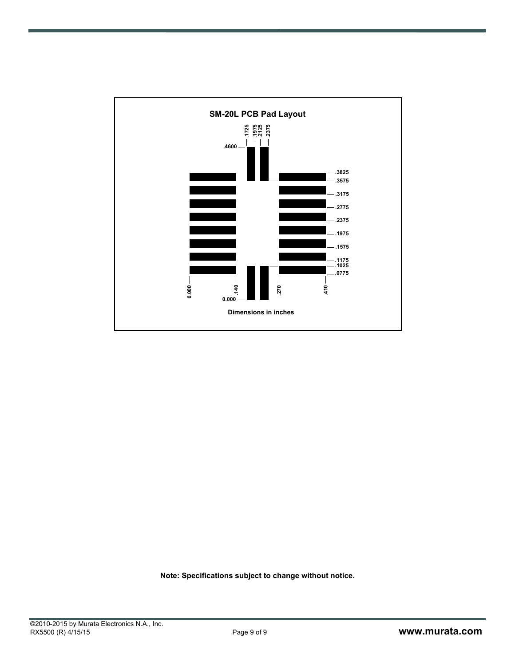

**Note: Specifications subject to change without notice.**